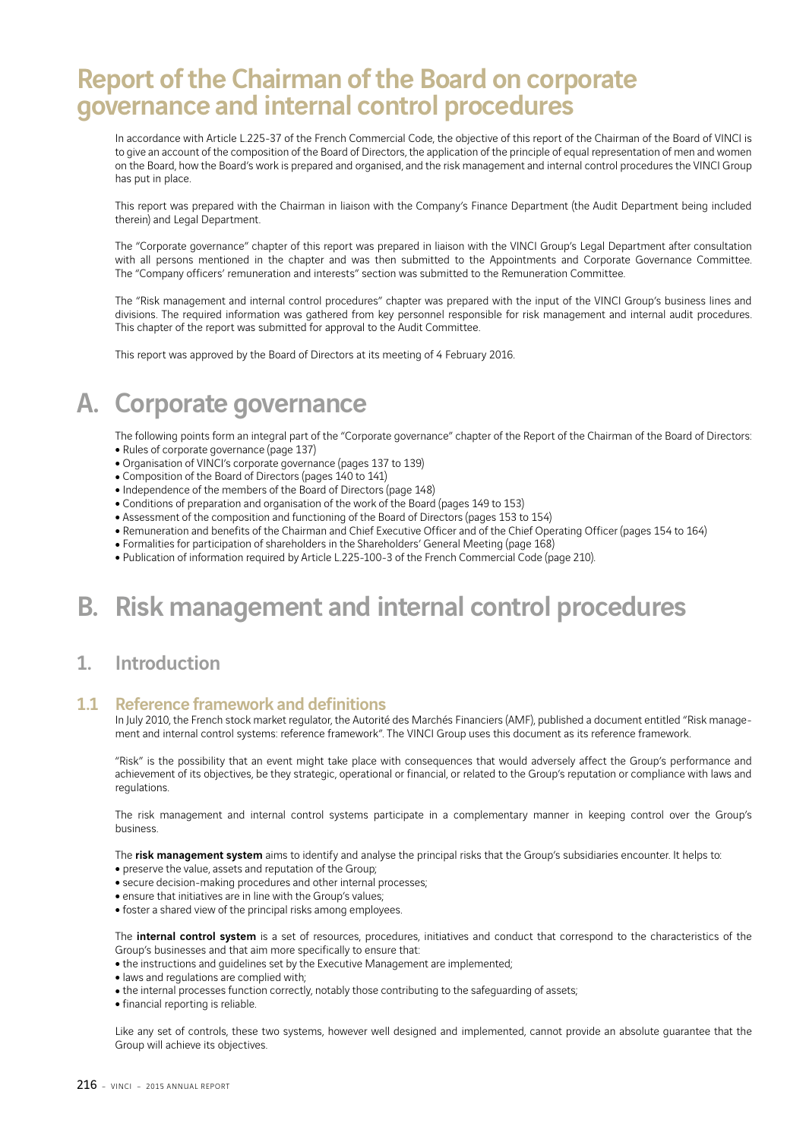# Report of the Chairman of the Board on corporate governance and internal control procedures

In accordance with Article L.225-37 of the French Commercial Code, the objective of this report of the Chairman of the Board of VINCI is to give an account of the composition of the Board of Directors, the application of the principle of equal representation of men and women on the Board, how the Board's work is prepared and organised, and the risk management and internal control procedures the VINCI Group has put in place.

This report was prepared with the Chairman in liaison with the Company's Finance Department (the Audit Department being included therein) and Legal Department.

The "Corporate governance" chapter of this report was prepared in liaison with the VINCI Group's Legal Department after consultation with all persons mentioned in the chapter and was then submitted to the Appointments and Corporate Governance Committee. The "Company officers' remuneration and interests" section was submitted to the Remuneration Committee.

The "Risk management and internal control procedures" chapter was prepared with the input of the VINCI Group's business lines and divisions. The required information was gathered from key personnel responsible for risk management and internal audit procedures. This chapter of the report was submitted for approval to the Audit Committee.

This report was approved by the Board of Directors at its meeting of 4 February 2016.

# A. Corporate governance

The following points form an integral part of the "Corporate governance" chapter of the Report of the Chairman of the Board of Directors: • Rules of corporate governance (page 137)

- Organisation of VINCI's corporate governance (pages 137 to 139)
- Composition of the Board of Directors (pages 140 to 141)
- Independence of the members of the Board of Directors (page 148)
- Conditions of preparation and organisation of the work of the Board (pages 149 to 153)
- Assessment of the composition and functioning of the Board of Directors (pages 153 to 154)
- Remuneration and benefits of the Chairman and Chief Executive Officer and of the Chief Operating Officer (pages 154 to 164)
- Formalities for participation of shareholders in the Shareholders' General Meeting (page 168)
- Publication of information required by Article L.225-100-3 of the French Commercial Code (page 210).

# B. Risk management and internal control procedures

### 1. Introduction

### 1.1 Reference framework and definitions

In July 2010, the French stock market regulator, the Autorité des Marchés Financiers (AMF), published a document entitled "Risk management and internal control systems: reference framework". The VINCI Group uses this document as its reference framework.

"Risk" is the possibility that an event might take place with consequences that would adversely affect the Group's performance and achievement of its objectives, be they strategic, operational or financial, or related to the Group's reputation or compliance with laws and regulations.

The risk management and internal control systems participate in a complementary manner in keeping control over the Group's business.

The risk management system aims to identify and analyse the principal risks that the Group's subsidiaries encounter. It helps to:

- preserve the value, assets and reputation of the Group;
- secure decision-making procedures and other internal processes;
- ensure that initiatives are in line with the Group's values;
- foster a shared view of the principal risks among employees.

The internal control system is a set of resources, procedures, initiatives and conduct that correspond to the characteristics of the Group's businesses and that aim more specifically to ensure that:

- the instructions and guidelines set by the Executive Management are implemented;
- laws and regulations are complied with;
- the internal processes function correctly, notably those contributing to the safeguarding of assets;
- financial reporting is reliable.

Like any set of controls, these two systems, however well designed and implemented, cannot provide an absolute guarantee that the Group will achieve its objectives.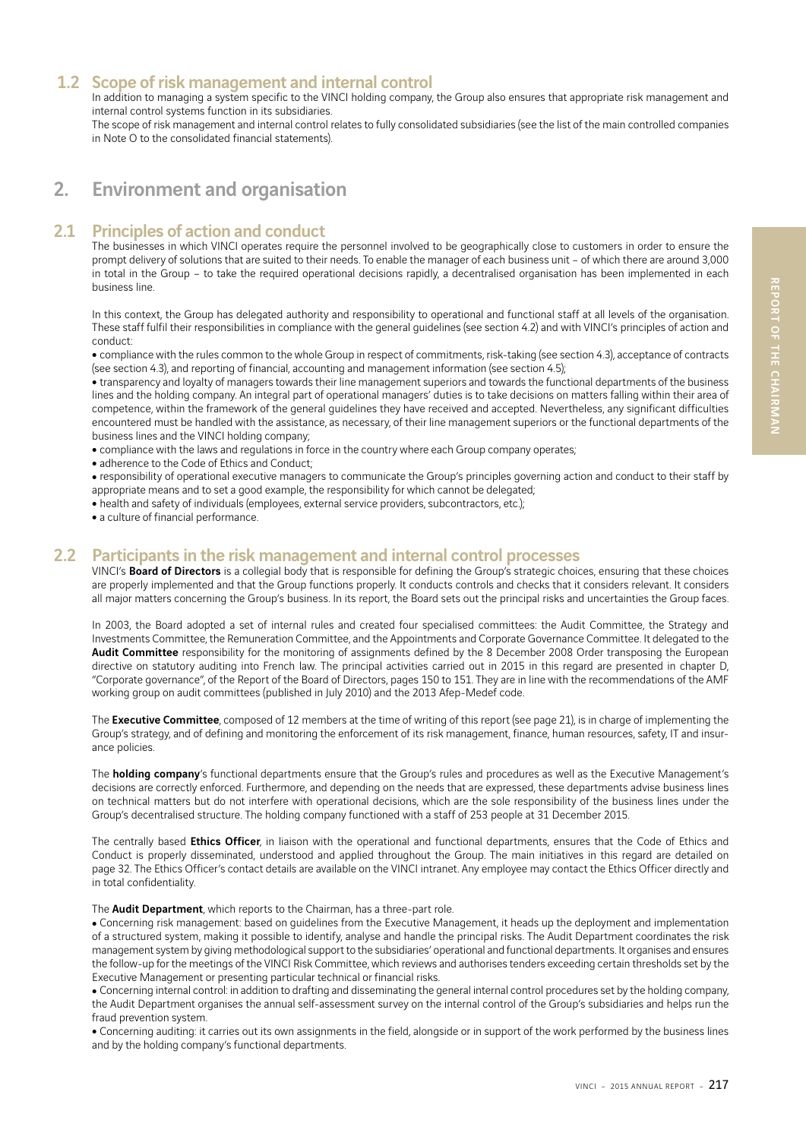## 1.2 Scope of risk management and internal control

In addition to managing a system specific to the VINCI holding company, the Group also ensures that appropriate risk management and internal control systems function in its subsidiaries.

The scope of risk management and internal control relates to fully consolidated subsidiaries (see the list of the main controlled companies in Note O to the consolidated financial statements).

# 2. Environment and organisation

### 2.1 Principles of action and conduct

The businesses in which VINCI operates require the personnel involved to be geographically close to customers in order to ensure the prompt delivery of solutions that are suited to their needs. To enable the manager of each business unit – of which there are around 3,000 in total in the Group – to take the required operational decisions rapidly, a decentralised organisation has been implemented in each business line.

In this context, the Group has delegated authority and responsibility to operational and functional staff at all levels of the organisation. These staff fulfil their responsibilities in compliance with the general guidelines (see section 4.2) and with VINCI's principles of action and conduct:

<sup>ˇ</sup> compliance with the rules common to the whole Group in respect of commitments, risk-taking (see section 4.3), acceptance of contracts (see section 4.3), and reporting of financial, accounting and management information (see section 4.5);

• transparency and loyalty of managers towards their line management superiors and towards the functional departments of the business lines and the holding company. An integral part of operational managers' duties is to take decisions on matters falling within their area of competence, within the framework of the general guidelines they have received and accepted. Nevertheless, any significant difficulties encountered must be handled with the assistance, as necessary, of their line management superiors or the functional departments of the business lines and the VINCI holding company;

- compliance with the laws and regulations in force in the country where each Group company operates;
- adherence to the Code of Ethics and Conduct;

<sup>ˇ</sup> responsibility of operational executive managers to communicate the Group's principles governing action and conduct to their staff by appropriate means and to set a good example, the responsibility for which cannot be delegated;

- health and safety of individuals (employees, external service providers, subcontractors, etc.);
- $\bullet$  a culture of financial performance.

### 2.2 Participants in the risk management and internal control processes

VINCI's Board of Directors is a collegial body that is responsible for defining the Group's strategic choices, ensuring that these choices are properly implemented and that the Group functions properly. It conducts controls and checks that it considers relevant. It considers all major matters concerning the Group's business. In its report, the Board sets out the principal risks and uncertainties the Group faces.

In 2003, the Board adopted a set of internal rules and created four specialised committees: the Audit Committee, the Strategy and Investments Committee, the Remuneration Committee, and the Appointments and Corporate Governance Committee. It delegated to the Audit Committee responsibility for the monitoring of assignments defined by the 8 December 2008 Order transposing the European directive on statutory auditing into French law. The principal activities carried out in 2015 in this regard are presented in chapter D, "Corporate governance", of the Report of the Board of Directors, pages 150 to 151. They are in line with the recommendations of the AMF working group on audit committees (published in July 2010) and the 2013 Afep-Medef code.

The **Executive Committee**, composed of 12 members at the time of writing of this report (see page 21), is in charge of implementing the Group's strategy, and of defining and monitoring the enforcement of its risk management, finance, human resources, safety, IT and insurance policies.

The **holding company'**s functional departments ensure that the Group's rules and procedures as well as the Executive Management's decisions are correctly enforced. Furthermore, and depending on the needs that are expressed, these departments advise business lines on technical matters but do not interfere with operational decisions, which are the sole responsibility of the business lines under the Group's decentralised structure. The holding company functioned with a staff of 253 people at 31 December 2015.

The centrally based Ethics Officer, in liaison with the operational and functional departments, ensures that the Code of Ethics and Conduct is properly disseminated, understood and applied throughout the Group. The main initiatives in this regard are detailed on page 32. The Ethics Officer's contact details are available on the VINCI intranet. Any employee may contact the Ethics Officer directly and in total confidentiality.

The **Audit Department**, which reports to the Chairman, has a three-part role.

• Concerning risk management: based on guidelines from the Executive Management, it heads up the deployment and implementation of a structured system, making it possible to identify, analyse and handle the principal risks. The Audit Department coordinates the risk management system by giving methodological support to the subsidiaries' operational and functional departments. It organises and ensures the follow-up for the meetings of the VINCI Risk Committee, which reviews and authorises tenders exceeding certain thresholds set by the Executive Management or presenting particular technical or financial risks.

• Concerning internal control: in addition to drafting and disseminating the general internal control procedures set by the holding company, the Audit Department organises the annual self-assessment survey on the internal control of the Group's subsidiaries and helps run the fraud prevention system.

• Concerning auditing: it carries out its own assignments in the field, alongside or in support of the work performed by the business lines and by the holding company's functional departments.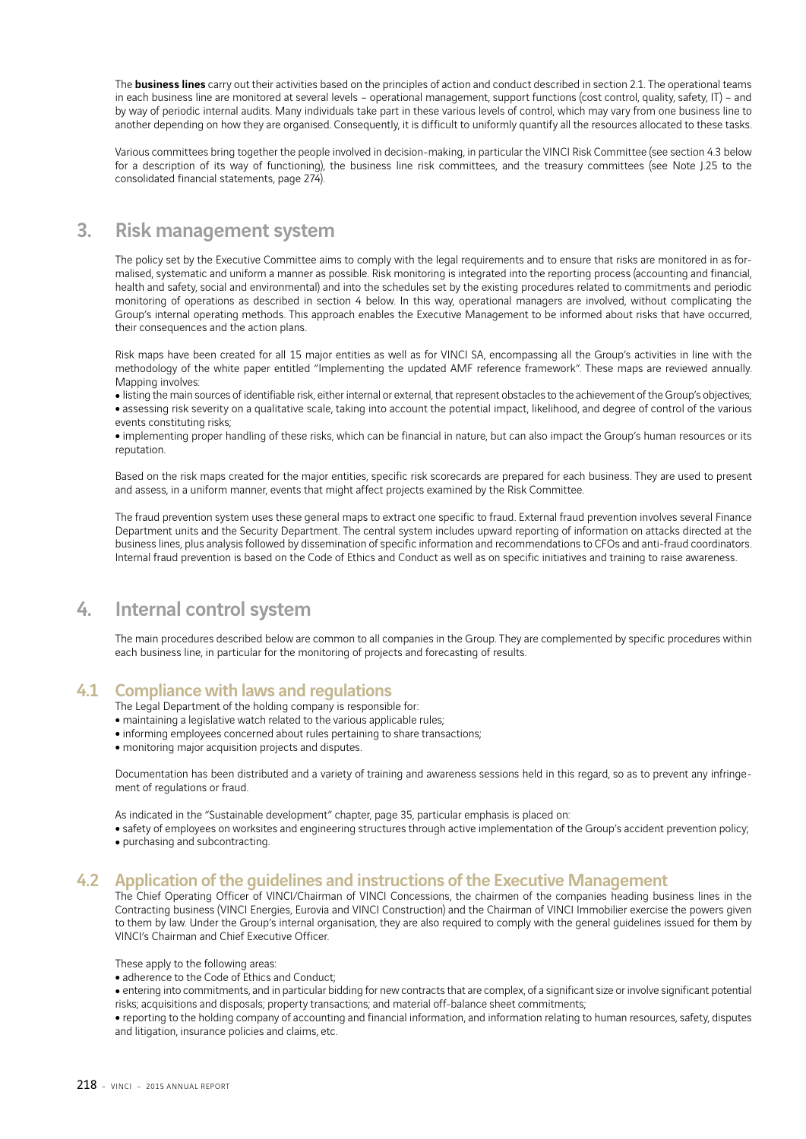The **business lines** carry out their activities based on the principles of action and conduct described in section 2.1. The operational teams in each business line are monitored at several levels – operational management, support functions (cost control, quality, safety, IT) – and by way of periodic internal audits. Many individuals take part in these various levels of control, which may vary from one business line to another depending on how they are organised. Consequently, it is difficult to uniformly quantify all the resources allocated to these tasks.

Various committees bring together the people involved in decision-making, in particular the VINCI Risk Committee (see section 4.3 below for a description of its way of functioning), the business line risk committees, and the treasury committees (see Note J.25 to the consolidated financial statements, page 274).

## 3. Risk management system

The policy set by the Executive Committee aims to comply with the legal requirements and to ensure that risks are monitored in as formalised, systematic and uniform a manner as possible. Risk monitoring is integrated into the reporting process (accounting and financial, health and safety, social and environmental) and into the schedules set by the existing procedures related to commitments and periodic monitoring of operations as described in section 4 below. In this way, operational managers are involved, without complicating the Group's internal operating methods. This approach enables the Executive Management to be informed about risks that have occurred, their consequences and the action plans.

Risk maps have been created for all 15 major entities as well as for VINCI SA, encompassing all the Group's activities in line with the methodology of the white paper entitled "Implementing the updated AMF reference framework". These maps are reviewed annually. Mapping involves:

• listing the main sources of identifiable risk, either internal or external, that represent obstacles to the achievement of the Group's objectives; • assessing risk severity on a qualitative scale, taking into account the potential impact, likelihood, and degree of control of the various events constituting risks;

• implementing proper handling of these risks, which can be financial in nature, but can also impact the Group's human resources or its reputation.

Based on the risk maps created for the major entities, specific risk scorecards are prepared for each business. They are used to present and assess, in a uniform manner, events that might affect projects examined by the Risk Committee.

The fraud prevention system uses these general maps to extract one specific to fraud. External fraud prevention involves several Finance Department units and the Security Department. The central system includes upward reporting of information on attacks directed at the business lines, plus analysis followed by dissemination of specific information and recommendations to CFOs and anti-fraud coordinators. Internal fraud prevention is based on the Code of Ethics and Conduct as well as on specific initiatives and training to raise awareness.

# 4. Internal control system

The main procedures described below are common to all companies in the Group. They are complemented by specific procedures within each business line, in particular for the monitoring of projects and forecasting of results.

### 4.1 Compliance with laws and regulations

- The Legal Department of the holding company is responsible for:
- maintaining a legislative watch related to the various applicable rules;
- informing employees concerned about rules pertaining to share transactions;
- monitoring major acquisition projects and disputes.

Documentation has been distributed and a variety of training and awareness sessions held in this regard, so as to prevent any infringement of regulations or fraud.

As indicated in the "Sustainable development" chapter, page 35, particular emphasis is placed on:

• safety of employees on worksites and engineering structures through active implementation of the Group's accident prevention policy;

• purchasing and subcontracting.

### 4.2 Application of the guidelines and instructions of the Executive Management

The Chief Operating Officer of VINCI/Chairman of VINCI Concessions, the chairmen of the companies heading business lines in the Contracting business (VINCI Energies, Eurovia and VINCI Construction) and the Chairman of VINCI Immobilier exercise the powers given to them by law. Under the Group's internal organisation, they are also required to comply with the general guidelines issued for them by VINCI's Chairman and Chief Executive Officer.

These apply to the following areas:

• adherence to the Code of Ethics and Conduct:

• entering into commitments, and in particular bidding for new contracts that are complex, of a significant size or involve significant potential risks; acquisitions and disposals; property transactions; and material off-balance sheet commitments;

• reporting to the holding company of accounting and financial information, and information relating to human resources, safety, disputes and litigation, insurance policies and claims, etc.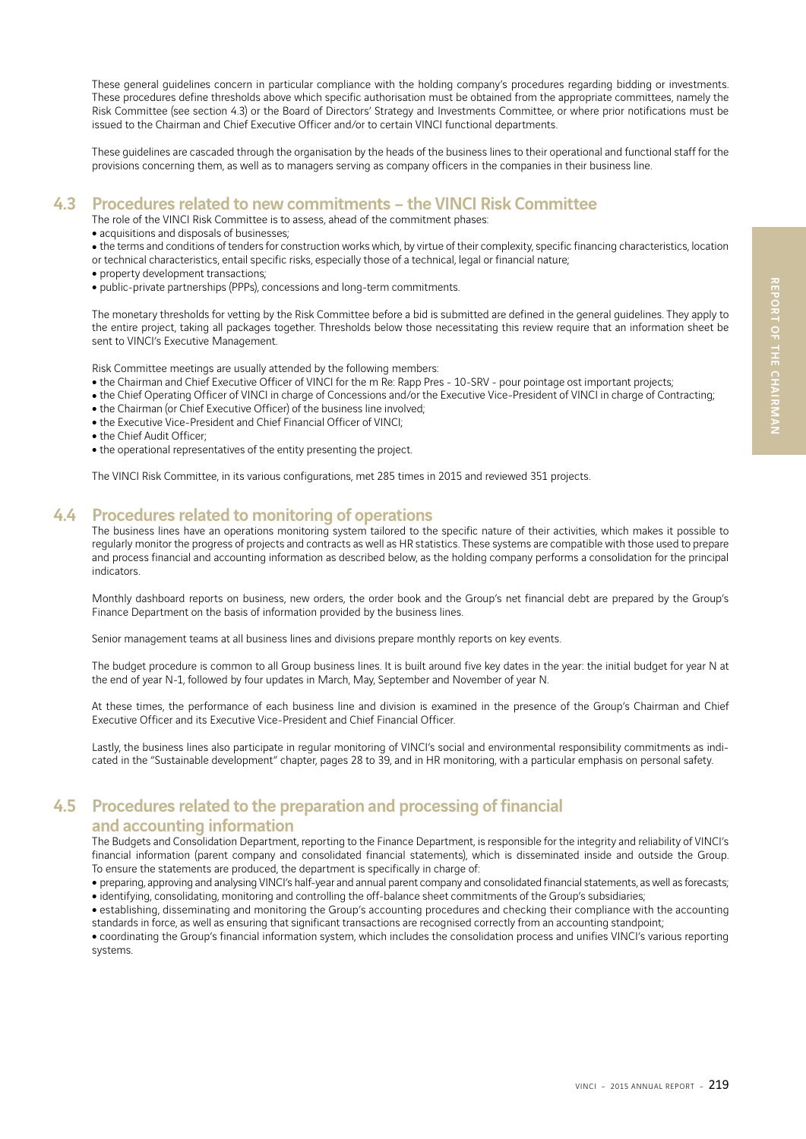These general guidelines concern in particular compliance with the holding company's procedures regarding bidding or investments. These procedures define thresholds above which specific authorisation must be obtained from the appropriate committees, namely the Risk Committee (see section 4.3) or the Board of Directors' Strategy and Investments Committee, or where prior notifications must be issued to the Chairman and Chief Executive Officer and/or to certain VINCI functional departments.

These guidelines are cascaded through the organisation by the heads of the business lines to their operational and functional staff for the provisions concerning them, as well as to managers serving as company officers in the companies in their business line.

### 4.3 Procedures related to new commitments – the VINCI Risk Committee

The role of the VINCI Risk Committee is to assess, ahead of the commitment phases:

• acquisitions and disposals of businesses;

• the terms and conditions of tenders for construction works which, by virtue of their complexity, specific financing characteristics, location or technical characteristics, entail specific risks, especially those of a technical, legal or financial nature;

- 
- property development transactions;
- public-private partnerships (PPPs), concessions and long-term commitments.

The monetary thresholds for vetting by the Risk Committee before a bid is submitted are defined in the general guidelines. They apply to the entire project, taking all packages together. Thresholds below those necessitating this review require that an information sheet be sent to VINCI's Executive Management.

Risk Committee meetings are usually attended by the following members:

- the Chairman and Chief Executive Officer of VINCI for the m Re: Rapp Pres 10-SRV pour pointage ost important projects;
- the Chief Operating Officer of VINCI in charge of Concessions and/or the Executive Vice-President of VINCI in charge of Contracting;
- the Chairman (or Chief Executive Officer) of the business line involved;
- the Executive Vice-President and Chief Financial Officer of VINCI:
- the Chief Audit Officer;
- the operational representatives of the entity presenting the project.

The VINCI Risk Committee, in its various configurations, met 285 times in 2015 and reviewed 351 projects.

### 4.4 Procedures related to monitoring of operations

The business lines have an operations monitoring system tailored to the specific nature of their activities, which makes it possible to regularly monitor the progress of projects and contracts as well as HR statistics. These systems are compatible with those used to prepare and process financial and accounting information as described below, as the holding company performs a consolidation for the principal indicators.

Monthly dashboard reports on business, new orders, the order book and the Group's net financial debt are prepared by the Group's Finance Department on the basis of information provided by the business lines.

Senior management teams at all business lines and divisions prepare monthly reports on key events.

The budget procedure is common to all Group business lines. It is built around five key dates in the year: the initial budget for year N at the end of year N-1, followed by four updates in March, May, September and November of year N.

At these times, the performance of each business line and division is examined in the presence of the Group's Chairman and Chief Executive Officer and its Executive Vice-President and Chief Financial Officer.

Lastly, the business lines also participate in regular monitoring of VINCI's social and environmental responsibility commitments as indicated in the "Sustainable development" chapter, pages 28 to 39, and in HR monitoring, with a particular emphasis on personal safety.

# 4.5 Procedures related to the preparation and processing of financial

#### and accounting information

The Budgets and Consolidation Department, reporting to the Finance Department, is responsible for the integrity and reliability of VINCI's financial information (parent company and consolidated financial statements), which is disseminated inside and outside the Group. To ensure the statements are produced, the department is specifically in charge of:

• preparing, approving and analysing VINCI's half-year and annual parent company and consolidated financial statements, as well as forecasts; • identifying, consolidating, monitoring and controlling the off-balance sheet commitments of the Group's subsidiaries;

• establishing, disseminating and monitoring the Group's accounting procedures and checking their compliance with the accounting standards in force, as well as ensuring that significant transactions are recognised correctly from an accounting standpoint;

<sup>ˇ</sup> coordinating the Group's financial information system, which includes the consolidation process and unifies VINCI's various reporting systems.